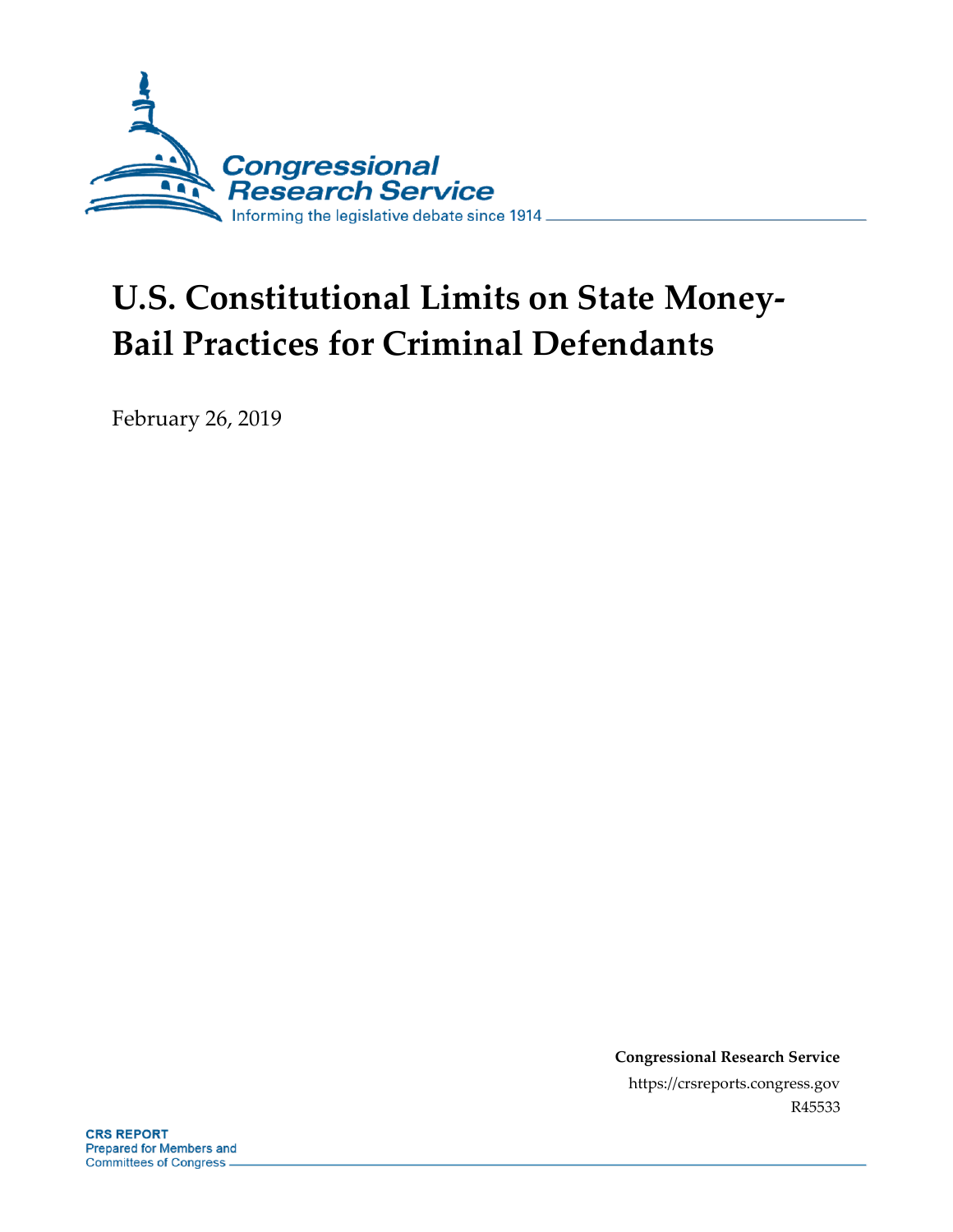

# **U.S. Constitutional Limits on State Money-Bail Practices for Criminal Defendants**

February 26, 2019

**Congressional Research Service** https://crsreports.congress.gov R45533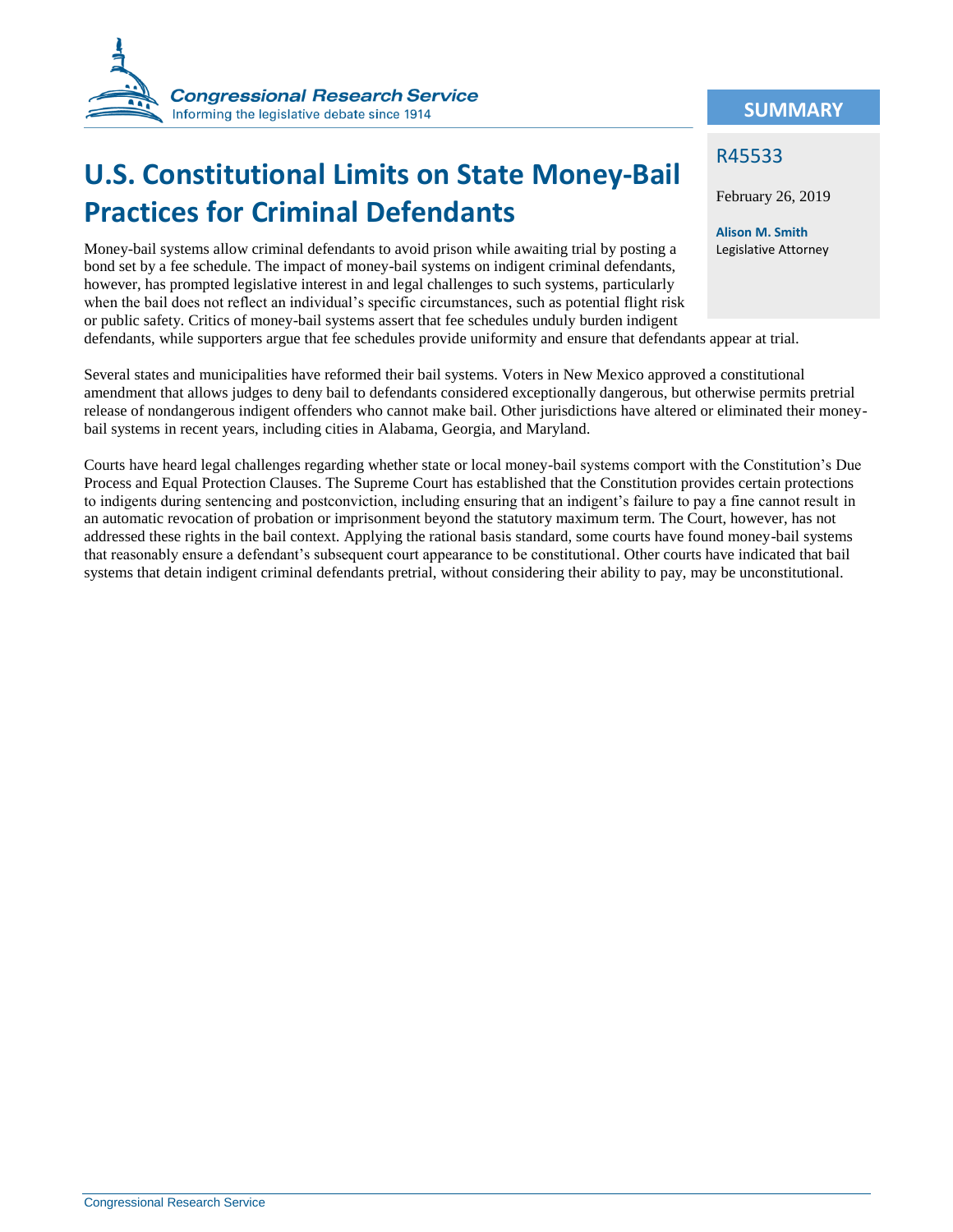

## **U.S. Constitutional Limits on State Money-Bail Practices for Criminal Defendants**

Money-bail systems allow criminal defendants to avoid prison while awaiting trial by posting a bond set by a fee schedule. The impact of money-bail systems on indigent criminal defendants, however, has prompted legislative interest in and legal challenges to such systems, particularly when the bail does not reflect an individual's specific circumstances, such as potential flight risk or public safety. Critics of money-bail systems assert that fee schedules unduly burden indigent defendants, while supporters argue that fee schedules provide uniformity and ensure that defendants appear at trial.

Several states and municipalities have reformed their bail systems. Voters in New Mexico approved a constitutional amendment that allows judges to deny bail to defendants considered exceptionally dangerous, but otherwise permits pretrial release of nondangerous indigent offenders who cannot make bail. Other jurisdictions have altered or eliminated their moneybail systems in recent years, including cities in Alabama, Georgia, and Maryland.

Courts have heard legal challenges regarding whether state or local money-bail systems comport with the Constitution's Due Process and Equal Protection Clauses. The Supreme Court has established that the Constitution provides certain protections to indigents during sentencing and postconviction, including ensuring that an indigent's failure to pay a fine cannot result in an automatic revocation of probation or imprisonment beyond the statutory maximum term. The Court, however, has not addressed these rights in the bail context. Applying the rational basis standard, some courts have found money-bail systems that reasonably ensure a defendant's subsequent court appearance to be constitutional. Other courts have indicated that bail systems that detain indigent criminal defendants pretrial, without considering their ability to pay, may be unconstitutional.

#### **SUMMARY**

#### R45533

February 26, 2019

**Alison M. Smith** Legislative Attorney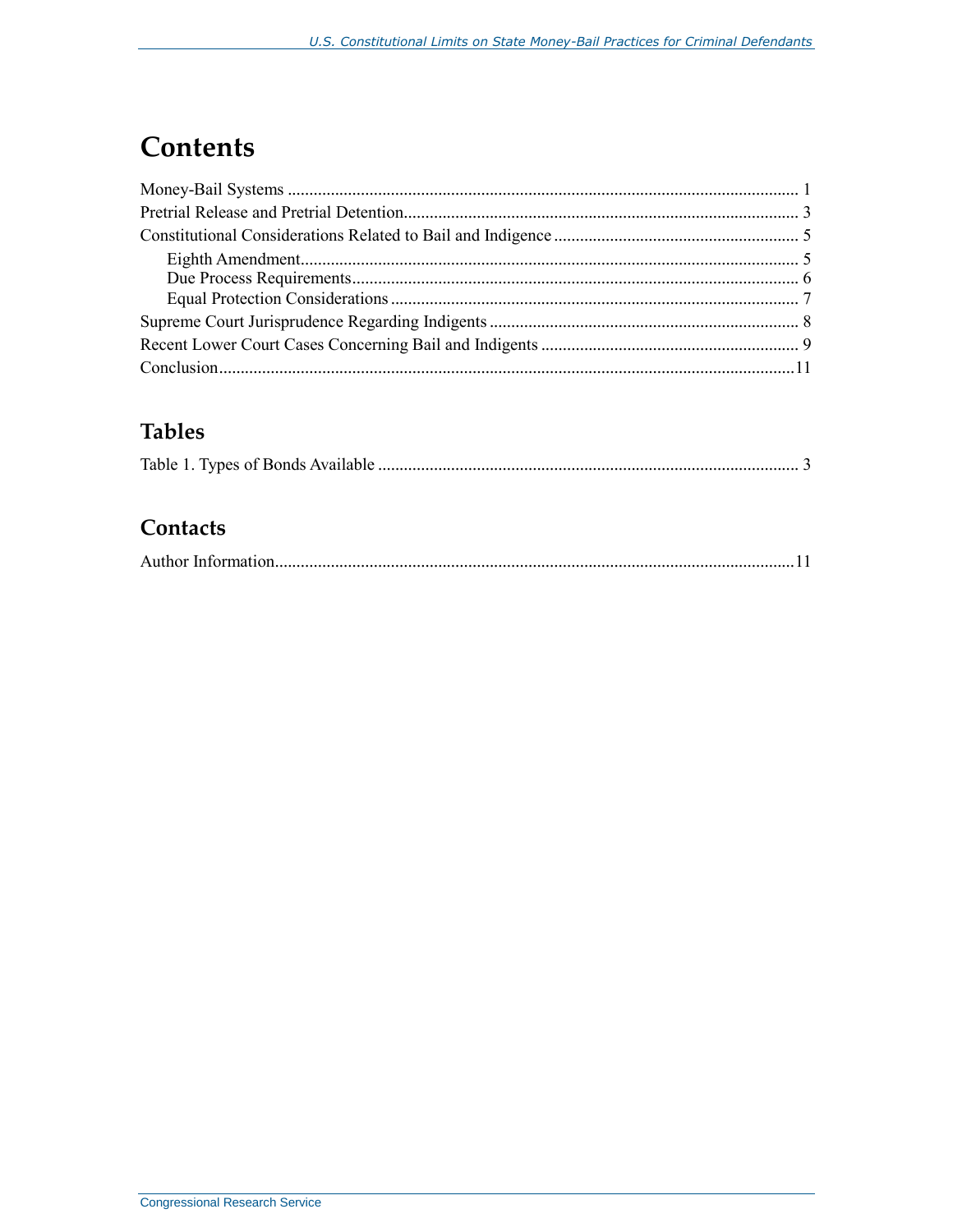### **Contents**

### **Tables**

### Contacts

|--|--|--|--|--|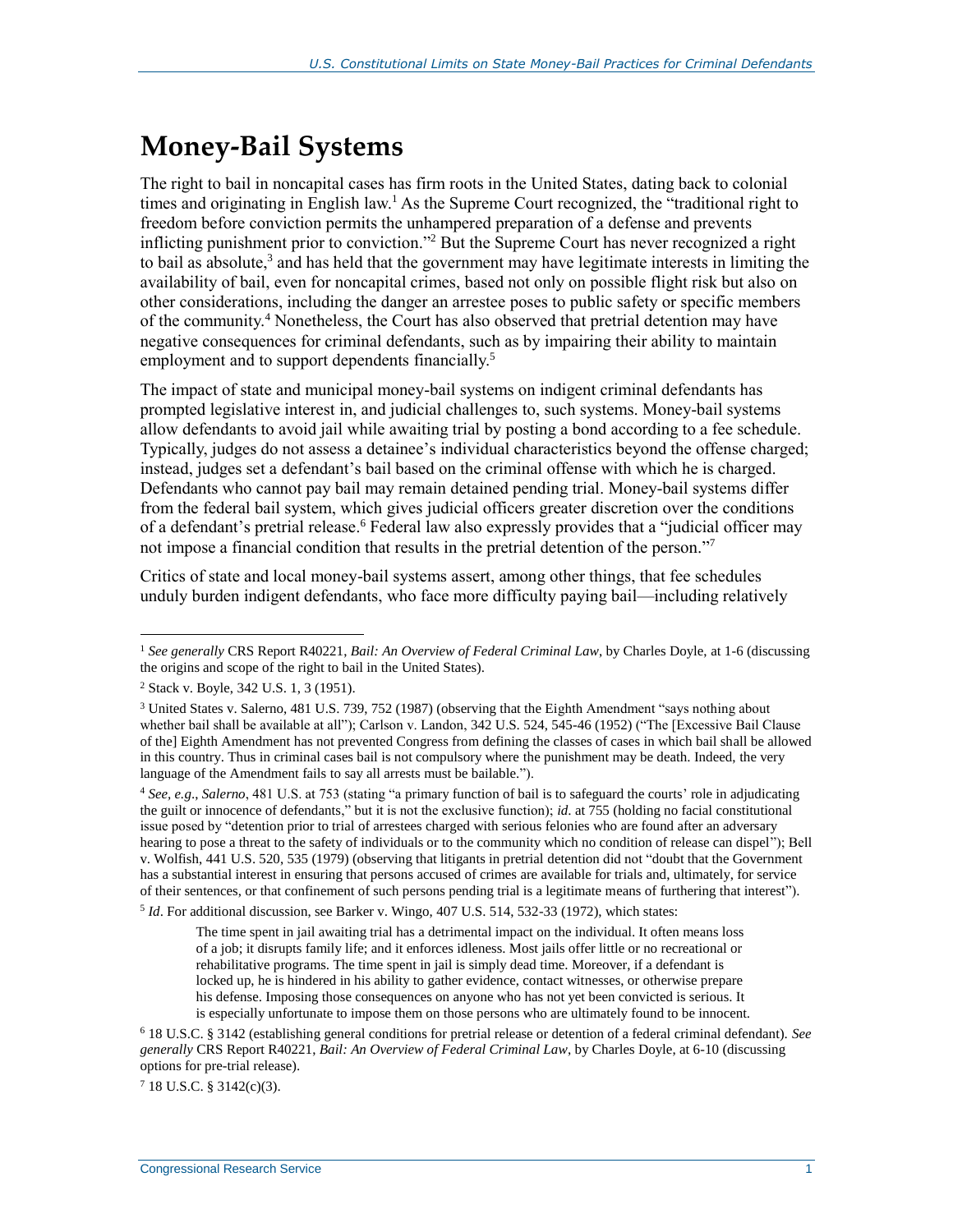## <span id="page-3-0"></span>**Money-Bail Systems**

The right to bail in noncapital cases has firm roots in the United States, dating back to colonial times and originating in English law.<sup>1</sup> As the Supreme Court recognized, the "traditional right to freedom before conviction permits the unhampered preparation of a defense and prevents inflicting punishment prior to conviction." <sup>2</sup> But the Supreme Court has never recognized a right to bail as absolute, $3$  and has held that the government may have legitimate interests in limiting the availability of bail, even for noncapital crimes, based not only on possible flight risk but also on other considerations, including the danger an arrestee poses to public safety or specific members of the community.<sup>4</sup> Nonetheless, the Court has also observed that pretrial detention may have negative consequences for criminal defendants, such as by impairing their ability to maintain employment and to support dependents financially.<sup>5</sup>

The impact of state and municipal money-bail systems on indigent criminal defendants has prompted legislative interest in, and judicial challenges to, such systems. Money-bail systems allow defendants to avoid jail while awaiting trial by posting a bond according to a fee schedule. Typically, judges do not assess a detainee's individual characteristics beyond the offense charged; instead, judges set a defendant's bail based on the criminal offense with which he is charged. Defendants who cannot pay bail may remain detained pending trial. Money-bail systems differ from the federal bail system, which gives judicial officers greater discretion over the conditions of a defendant's pretrial release.<sup>6</sup> Federal law also expressly provides that a "judicial officer may not impose a financial condition that results in the pretrial detention of the person."<sup>7</sup>

Critics of state and local money-bail systems assert, among other things, that fee schedules unduly burden indigent defendants, who face more difficulty paying bail—including relatively

 $\overline{a}$ 

5 *Id*. For additional discussion, see Barker v. Wingo, 407 U.S. 514, 532-33 (1972), which states:

The time spent in jail awaiting trial has a detrimental impact on the individual. It often means loss of a job; it disrupts family life; and it enforces idleness. Most jails offer little or no recreational or rehabilitative programs. The time spent in jail is simply dead time. Moreover, if a defendant is locked up, he is hindered in his ability to gather evidence, contact witnesses, or otherwise prepare his defense. Imposing those consequences on anyone who has not yet been convicted is serious. It is especially unfortunate to impose them on those persons who are ultimately found to be innocent.

 $718$  U.S.C. § 3142(c)(3).

<sup>1</sup> *See generally* CRS Report R40221, *Bail: An Overview of Federal Criminal Law*, by Charles Doyle, at 1-6 (discussing the origins and scope of the right to bail in the United States).

<sup>2</sup> Stack v. Boyle, 342 U.S. 1, 3 (1951).

<sup>3</sup> United States v. Salerno, 481 U.S. 739, 752 (1987) (observing that the Eighth Amendment "says nothing about whether bail shall be available at all"); Carlson v. Landon, 342 U.S. 524, 545-46 (1952) ("The [Excessive Bail Clause of the] Eighth Amendment has not prevented Congress from defining the classes of cases in which bail shall be allowed in this country. Thus in criminal cases bail is not compulsory where the punishment may be death. Indeed, the very language of the Amendment fails to say all arrests must be bailable.").

<sup>4</sup> *See, e.g*., *Salerno*, 481 U.S. at 753 (stating "a primary function of bail is to safeguard the courts' role in adjudicating the guilt or innocence of defendants," but it is not the exclusive function); *id*. at 755 (holding no facial constitutional issue posed by "detention prior to trial of arrestees charged with serious felonies who are found after an adversary hearing to pose a threat to the safety of individuals or to the community which no condition of release can dispel"); Bell v. Wolfish, 441 U.S. 520, 535 (1979) (observing that litigants in pretrial detention did not "doubt that the Government has a substantial interest in ensuring that persons accused of crimes are available for trials and, ultimately, for service of their sentences, or that confinement of such persons pending trial is a legitimate means of furthering that interest").

<sup>6</sup> 18 U.S.C. § 3142 (establishing general conditions for pretrial release or detention of a federal criminal defendant). *See generally* CRS Report R40221, *Bail: An Overview of Federal Criminal Law*, by Charles Doyle, at 6-10 (discussing options for pre-trial release).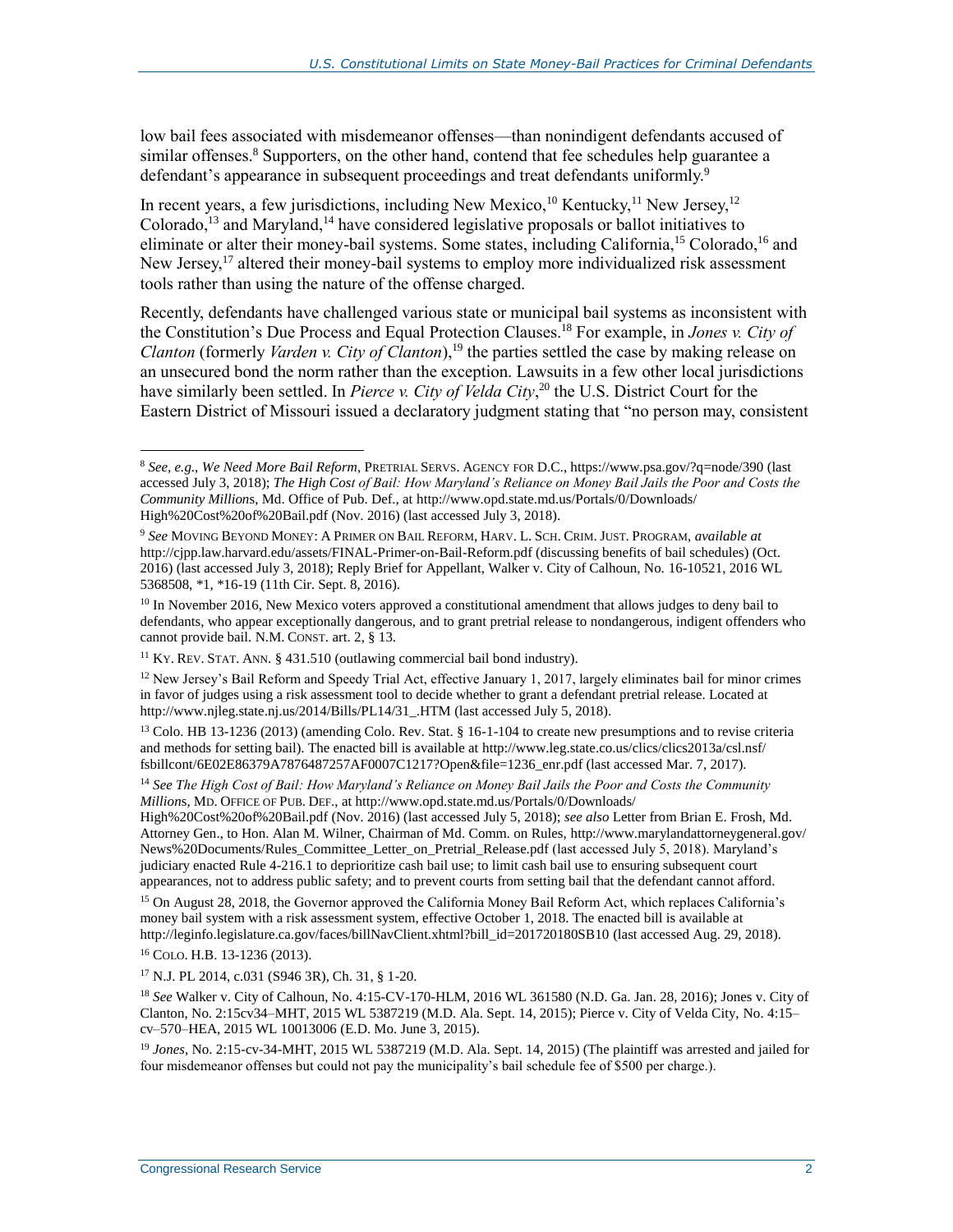low bail fees associated with misdemeanor offenses—than nonindigent defendants accused of similar offenses. $8$  Supporters, on the other hand, contend that fee schedules help guarantee a defendant's appearance in subsequent proceedings and treat defendants uniformly.<sup>9</sup>

In recent years, a few jurisdictions, including New Mexico,<sup>10</sup> Kentucky,<sup>11</sup> New Jersey,<sup>12</sup> Colorado,<sup>13</sup> and Maryland,<sup>14</sup> have considered legislative proposals or ballot initiatives to eliminate or alter their money-bail systems. Some states, including California,<sup>15</sup> Colorado,<sup>16</sup> and New Jersey,<sup>17</sup> altered their money-bail systems to employ more individualized risk assessment tools rather than using the nature of the offense charged.

Recently, defendants have challenged various state or municipal bail systems as inconsistent with the Constitution's Due Process and Equal Protection Clauses. <sup>18</sup> For example, in *Jones v. City of Clanton* (formerly *Varden v. City of Clanton*),<sup>19</sup> the parties settled the case by making release on an unsecured bond the norm rather than the exception. Lawsuits in a few other local jurisdictions have similarly been settled. In *Pierce v. City of Velda City*, <sup>20</sup> the U.S. District Court for the Eastern District of Missouri issued a declaratory judgment stating that "no person may, consistent

<sup>16</sup> COLO. H.B. 13-1236 (2013).

<sup>8</sup> *See, e.g., We Need More Bail Reform*, PRETRIAL SERVS. AGENCY FOR D.C., https://www.psa.gov/?q=node/390 (last accessed July 3, 2018); *The High Cost of Bail: How Maryland's Reliance on Money Bail Jails the Poor and Costs the Community Million*s, Md. Office of Pub. Def., at http://www.opd.state.md.us/Portals/0/Downloads/ High%20Cost%20of%20Bail.pdf (Nov. 2016) (last accessed July 3, 2018).

<sup>9</sup> *See* MOVING BEYOND MONEY: A PRIMER ON BAIL REFORM, HARV. L. SCH. CRIM. JUST. PROGRAM, *available at* http://cjpp.law.harvard.edu/assets/FINAL-Primer-on-Bail-Reform.pdf (discussing benefits of bail schedules) (Oct. 2016) (last accessed July 3, 2018); Reply Brief for Appellant, Walker v. City of Calhoun, No. 16-10521, 2016 WL 5368508, \*1, \*16-19 (11th Cir. Sept. 8, 2016).

<sup>&</sup>lt;sup>10</sup> In November 2016, New Mexico voters approved a constitutional amendment that allows judges to deny bail to defendants, who appear exceptionally dangerous, and to grant pretrial release to nondangerous, indigent offenders who cannot provide bail. N.M. CONST. art. 2, § 13.

<sup>11</sup> KY. REV. STAT. ANN. § 431.510 (outlawing commercial bail bond industry).

 $12$  New Jersey's Bail Reform and Speedy Trial Act, effective January 1, 2017, largely eliminates bail for minor crimes in favor of judges using a risk assessment tool to decide whether to grant a defendant pretrial release. Located at http://www.njleg.state.nj.us/2014/Bills/PL14/31\_.HTM (last accessed July 5, 2018).

<sup>&</sup>lt;sup>13</sup> Colo. HB 13-1236 (2013) (amending Colo. Rev. Stat. § 16-1-104 to create new presumptions and to revise criteria and methods for setting bail). The enacted bill is available at http://www.leg.state.co.us/clics/clics2013a/csl.nsf/ fsbillcont/6E02E86379A7876487257AF0007C1217?Open&file=1236\_enr.pdf (last accessed Mar. 7, 2017).

<sup>14</sup> *See The High Cost of Bail: How Maryland's Reliance on Money Bail Jails the Poor and Costs the Community Million*s, MD. OFFICE OF PUB. DEF., at http://www.opd.state.md.us/Portals/0/Downloads/

High%20Cost%20of%20Bail.pdf (Nov. 2016) (last accessed July 5, 2018); *see also* Letter from Brian E. Frosh, Md. Attorney Gen., to Hon. Alan M. Wilner, Chairman of Md. Comm. on Rules, http://www.marylandattorneygeneral.gov/ News%20Documents/Rules\_Committee\_Letter\_on\_Pretrial\_Release.pdf (last accessed July 5, 2018). Maryland's judiciary enacted Rule 4-216.1 to deprioritize cash bail use; to limit cash bail use to ensuring subsequent court appearances, not to address public safety; and to prevent courts from setting bail that the defendant cannot afford.

<sup>15</sup> On August 28, 2018, the Governor approved the California Money Bail Reform Act, which replaces California's money bail system with a risk assessment system, effective October 1, 2018. The enacted bill is available at http://leginfo.legislature.ca.gov/faces/billNavClient.xhtml?bill\_id=201720180SB10 (last accessed Aug. 29, 2018).

<sup>17</sup> N.J. PL 2014, c.031 (S946 3R), Ch. 31, § 1-20.

<sup>18</sup> *See* Walker v. City of Calhoun, No. 4:15-CV-170-HLM, 2016 WL 361580 (N.D. Ga. Jan. 28, 2016); Jones v. City of Clanton, No. 2:15cv34–MHT, 2015 WL 5387219 (M.D. Ala. Sept. 14, 2015); Pierce v. City of Velda City, No. 4:15– cv–570–HEA, 2015 WL 10013006 (E.D. Mo. June 3, 2015).

<sup>19</sup> *Jones*, No. 2:15-cv-34-MHT, 2015 WL 5387219 (M.D. Ala. Sept. 14, 2015) (The plaintiff was arrested and jailed for four misdemeanor offenses but could not pay the municipality's bail schedule fee of \$500 per charge.).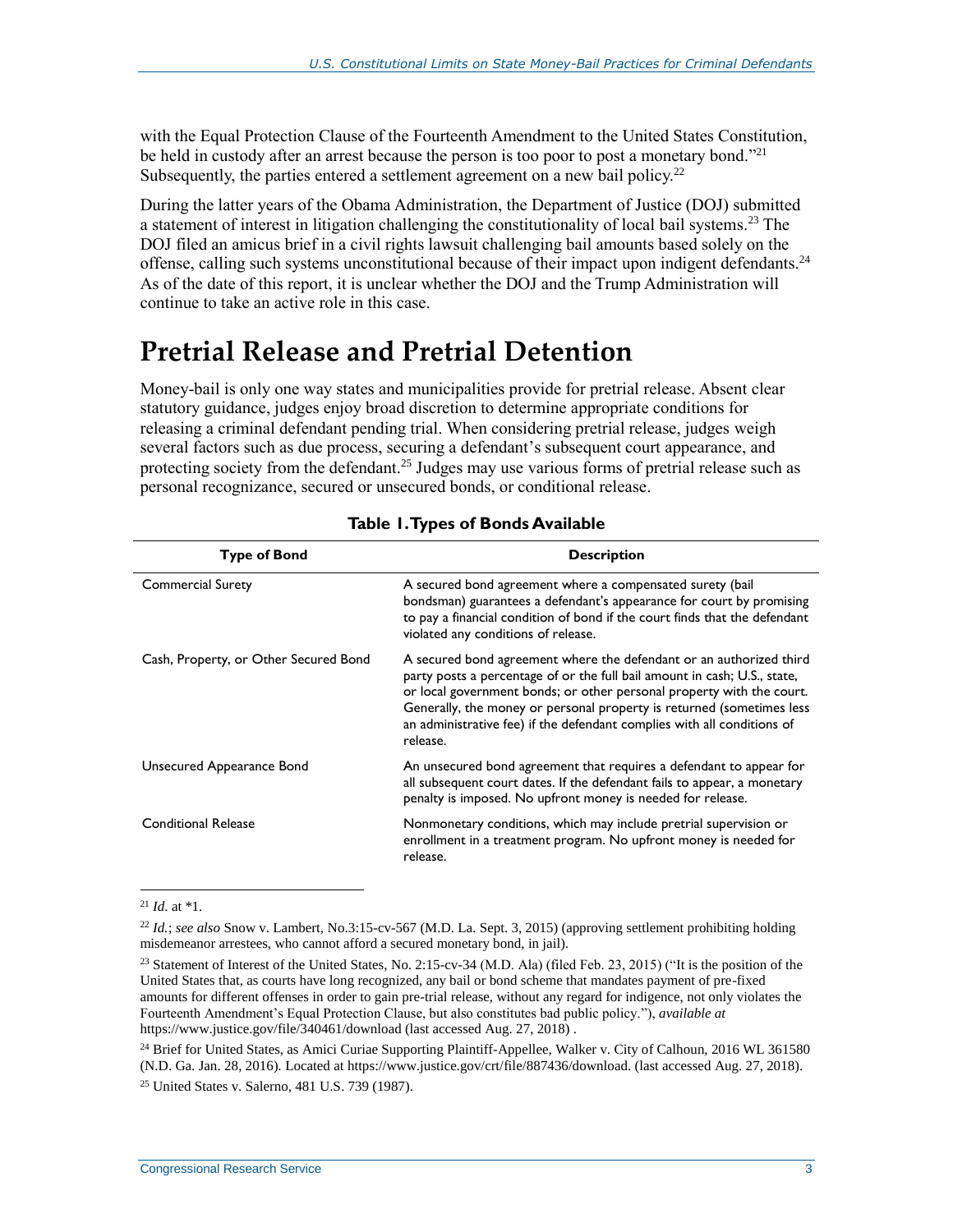with the Equal Protection Clause of the Fourteenth Amendment to the United States Constitution, be held in custody after an arrest because the person is too poor to post a monetary bond."<sup>21</sup> Subsequently, the parties entered a settlement agreement on a new bail policy.<sup>22</sup>

During the latter years of the Obama Administration, the Department of Justice (DOJ) submitted a statement of interest in litigation challenging the constitutionality of local bail systems.<sup>23</sup> The DOJ filed an amicus brief in a civil rights lawsuit challenging bail amounts based solely on the offense, calling such systems unconstitutional because of their impact upon indigent defendants.<sup>24</sup> As of the date of this report, it is unclear whether the DOJ and the Trump Administration will continue to take an active role in this case.

### <span id="page-5-0"></span>**Pretrial Release and Pretrial Detention**

Money-bail is only one way states and municipalities provide for pretrial release. Absent clear statutory guidance, judges enjoy broad discretion to determine appropriate conditions for releasing a criminal defendant pending trial. When considering pretrial release, judges weigh several factors such as due process, securing a defendant's subsequent court appearance, and protecting society from the defendant.<sup>25</sup> Judges may use various forms of pretrial release such as personal recognizance, secured or unsecured bonds, or conditional release.

<span id="page-5-1"></span>

| <b>Type of Bond</b>                   | <b>Description</b>                                                                                                                                                                                                                                                                                                                                                                        |
|---------------------------------------|-------------------------------------------------------------------------------------------------------------------------------------------------------------------------------------------------------------------------------------------------------------------------------------------------------------------------------------------------------------------------------------------|
| <b>Commercial Surety</b>              | A secured bond agreement where a compensated surety (bail<br>bondsman) guarantees a defendant's appearance for court by promising<br>to pay a financial condition of bond if the court finds that the defendant<br>violated any conditions of release.                                                                                                                                    |
| Cash, Property, or Other Secured Bond | A secured bond agreement where the defendant or an authorized third<br>party posts a percentage of or the full bail amount in cash; U.S., state,<br>or local government bonds; or other personal property with the court.<br>Generally, the money or personal property is returned (sometimes less<br>an administrative fee) if the defendant complies with all conditions of<br>release. |
| Unsecured Appearance Bond             | An unsecured bond agreement that requires a defendant to appear for<br>all subsequent court dates. If the defendant fails to appear, a monetary<br>penalty is imposed. No upfront money is needed for release.                                                                                                                                                                            |
| <b>Conditional Release</b>            | Nonmonetary conditions, which may include pretrial supervision or<br>enrollment in a treatment program. No upfront money is needed for<br>release.                                                                                                                                                                                                                                        |

#### **Table 1. Types of Bonds Available**

 $\overline{a}$ <sup>21</sup> *Id*. at \*1.

<sup>22</sup> *Id.*; *see also* Snow v. Lambert, No.3:15-cv-567 (M.D. La. Sept. 3, 2015) (approving settlement prohibiting holding misdemeanor arrestees, who cannot afford a secured monetary bond, in jail).

<sup>&</sup>lt;sup>23</sup> Statement of Interest of the United States, No. 2:15-cv-34 (M.D. Ala) (filed Feb. 23, 2015) ("It is the position of the United States that, as courts have long recognized, any bail or bond scheme that mandates payment of pre-fixed amounts for different offenses in order to gain pre-trial release, without any regard for indigence, not only violates the Fourteenth Amendment's Equal Protection Clause, but also constitutes bad public policy."), *available at* https://www.justice.gov/file/340461/download (last accessed Aug. 27, 2018).

<sup>&</sup>lt;sup>24</sup> Brief for United States, as Amici Curiae Supporting Plaintiff-Appellee, Walker v. City of Calhoun, 2016 WL 361580 (N.D. Ga. Jan. 28, 2016). Located at https://www.justice.gov/crt/file/887436/download. (last accessed Aug. 27, 2018). <sup>25</sup> United States v. Salerno, 481 U.S. 739 (1987).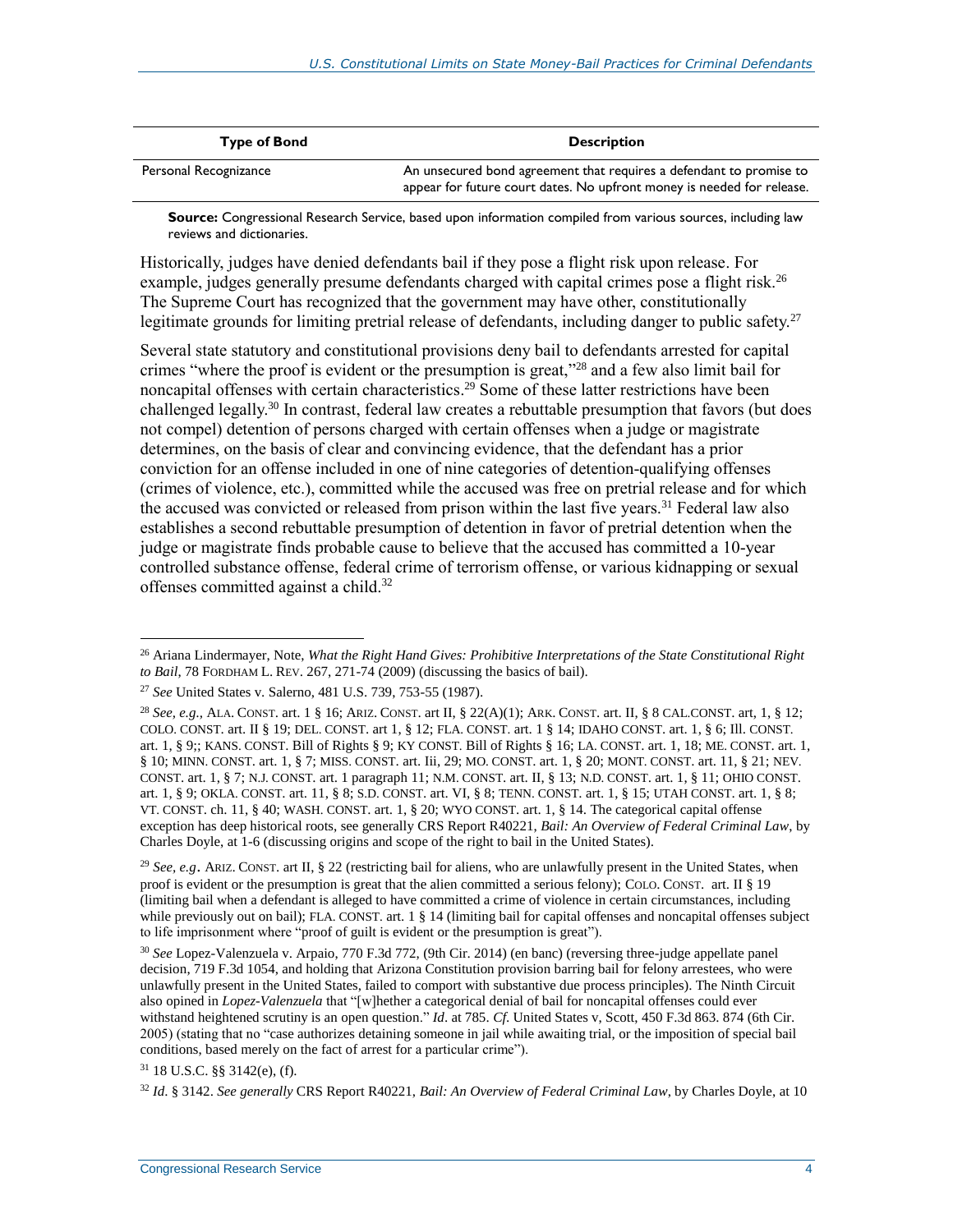| <b>Type of Bond</b>   | <b>Description</b>                                                                                                                            |
|-----------------------|-----------------------------------------------------------------------------------------------------------------------------------------------|
| Personal Recognizance | An unsecured bond agreement that requires a defendant to promise to<br>appear for future court dates. No upfront money is needed for release. |

**Source:** Congressional Research Service, based upon information compiled from various sources, including law reviews and dictionaries.

Historically, judges have denied defendants bail if they pose a flight risk upon release. For example, judges generally presume defendants charged with capital crimes pose a flight risk.<sup>26</sup> The Supreme Court has recognized that the government may have other, constitutionally legitimate grounds for limiting pretrial release of defendants, including danger to public safety.<sup>27</sup>

Several state statutory and constitutional provisions deny bail to defendants arrested for capital crimes "where the proof is evident or the presumption is great," <sup>28</sup> and a few also limit bail for noncapital offenses with certain characteristics. <sup>29</sup> Some of these latter restrictions have been challenged legally. <sup>30</sup> In contrast, federal law creates a rebuttable presumption that favors (but does not compel) detention of persons charged with certain offenses when a judge or magistrate determines, on the basis of clear and convincing evidence, that the defendant has a prior conviction for an offense included in one of nine categories of detention-qualifying offenses (crimes of violence, etc.), committed while the accused was free on pretrial release and for which the accused was convicted or released from prison within the last five years.<sup>31</sup> Federal law also establishes a second rebuttable presumption of detention in favor of pretrial detention when the judge or magistrate finds probable cause to believe that the accused has committed a 10-year controlled substance offense, federal crime of terrorism offense, or various kidnapping or sexual offenses committed against a child.<sup>32</sup>

<sup>31</sup> 18 U.S.C. §§ 3142(e), (f).

<sup>26</sup> Ariana Lindermayer, Note, *What the Right Hand Gives: Prohibitive Interpretations of the State Constitutional Right to Bail*, 78 FORDHAM L. REV. 267, 271-74 (2009) (discussing the basics of bail).

<sup>27</sup> *See* United States v. Salerno, 481 U.S. 739, 753-55 (1987).

<sup>28</sup> *See, e.g.,* ALA. CONST. art. 1 § 16; ARIZ. CONST. art II, § 22(A)(1); ARK. CONST. art. II, § 8 CAL.CONST. art, 1, § 12; COLO. CONST. art. II § 19; DEL. CONST. art 1, § 12; FLA. CONST. art. 1 § 14; IDAHO CONST. art. 1, § 6; Ill. CONST. art. 1, § 9;; KANS. CONST. Bill of Rights § 9; KY CONST. Bill of Rights § 16; LA. CONST. art. 1, 18; ME. CONST. art. 1, § 10; MINN. CONST. art. 1, § 7; MISS. CONST. art. Iii, 29; MO. CONST. art. 1, § 20; MONT. CONST. art. 11, § 21; NEV. CONST. art. 1, § 7; N.J. CONST. art. 1 paragraph 11; N.M. CONST. art. II, § 13; N.D. CONST. art. 1, § 11; OHIO CONST. art. 1, § 9; OKLA. CONST. art. 11, § 8; S.D. CONST. art. VI, § 8; TENN. CONST. art. 1, § 15; UTAH CONST. art. 1, § 8; VT. CONST. ch. 11, § 40; WASH. CONST. art. 1, § 20; WYO CONST. art. 1, § 14. The categorical capital offense exception has deep historical roots, see generally CRS Report R40221, *Bail: An Overview of Federal Criminal Law*, by Charles Doyle, at 1-6 (discussing origins and scope of the right to bail in the United States).

<sup>29</sup> *See, e.g*. ARIZ. CONST. art II, § 22 (restricting bail for aliens, who are unlawfully present in the United States, when proof is evident or the presumption is great that the alien committed a serious felony); COLO. CONST. art. II § 19 (limiting bail when a defendant is alleged to have committed a crime of violence in certain circumstances, including while previously out on bail); FLA. CONST. art. 1 § 14 (limiting bail for capital offenses and noncapital offenses subject to life imprisonment where "proof of guilt is evident or the presumption is great").

<sup>30</sup> *See* Lopez-Valenzuela v. Arpaio, 770 F.3d 772, (9th Cir. 2014) (en banc) (reversing three-judge appellate panel decision, 719 F.3d 1054, and holding that Arizona Constitution provision barring bail for felony arrestees, who were unlawfully present in the United States, failed to comport with substantive due process principles). The Ninth Circuit also opined in *Lopez-Valenzuela* that "[w]hether a categorical denial of bail for noncapital offenses could ever withstand heightened scrutiny is an open question." *Id*. at 785. *Cf*. United States v, Scott, 450 F.3d 863. 874 (6th Cir. 2005) (stating that no "case authorizes detaining someone in jail while awaiting trial, or the imposition of special bail conditions, based merely on the fact of arrest for a particular crime").

<sup>32</sup> *Id*. § 3142. *See generally* CRS Report R40221, *Bail: An Overview of Federal Criminal Law*, by Charles Doyle, at 10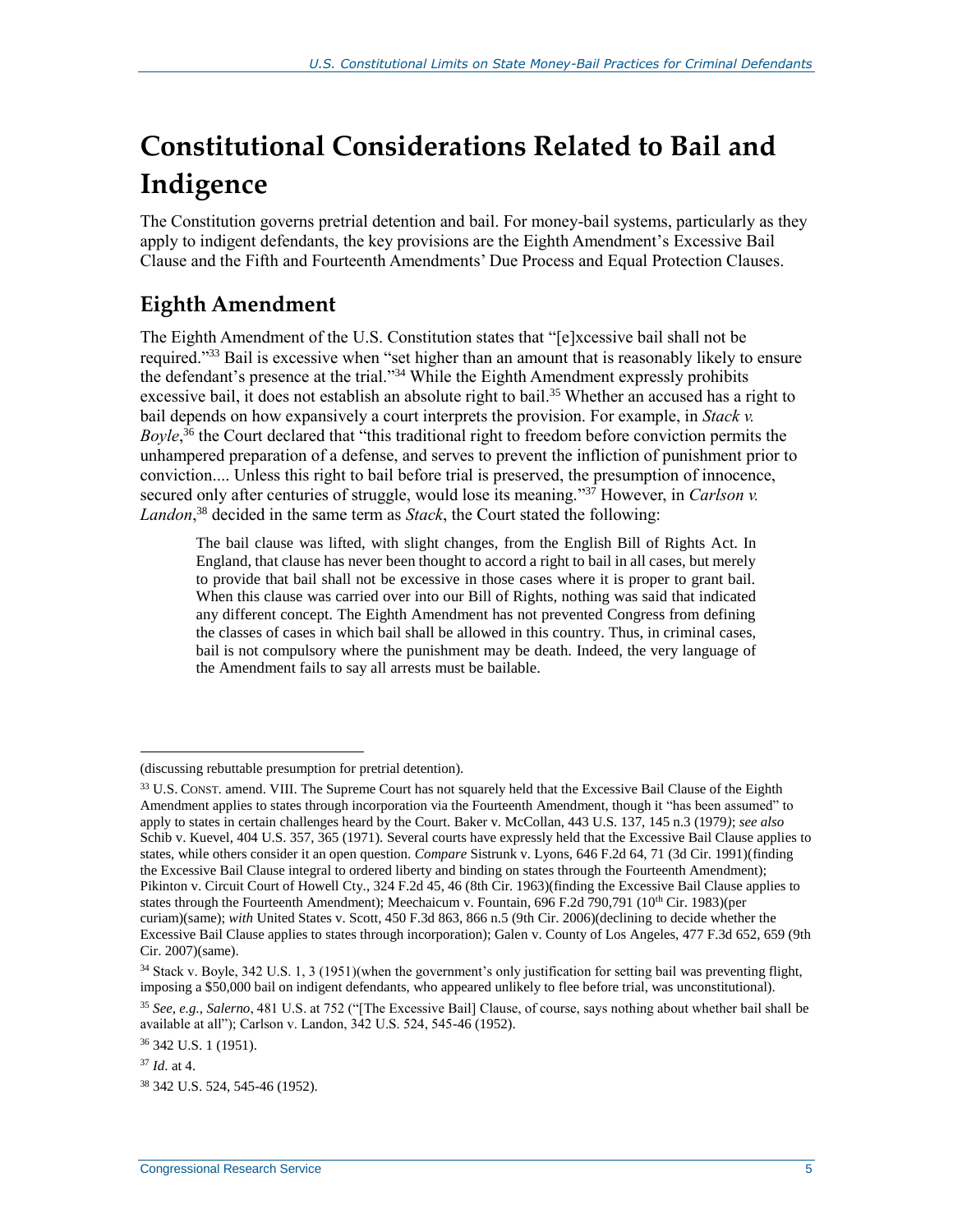## <span id="page-7-0"></span>**Constitutional Considerations Related to Bail and Indigence**

The Constitution governs pretrial detention and bail. For money-bail systems, particularly as they apply to indigent defendants, the key provisions are the Eighth Amendment's Excessive Bail Clause and the Fifth and Fourteenth Amendments' Due Process and Equal Protection Clauses.

### <span id="page-7-1"></span>**Eighth Amendment**

The Eighth Amendment of the U.S. Constitution states that "[e]xcessive bail shall not be required."<sup>33</sup> Bail is excessive when "set higher than an amount that is reasonably likely to ensure the defendant's presence at the trial."<sup>34</sup> While the Eighth Amendment expressly prohibits excessive bail, it does not establish an absolute right to bail.<sup>35</sup> Whether an accused has a right to bail depends on how expansively a court interprets the provision. For example, in *Stack v. Boyle*, <sup>36</sup> the Court declared that "this traditional right to freedom before conviction permits the unhampered preparation of a defense, and serves to prevent the infliction of punishment prior to conviction.... Unless this right to bail before trial is preserved, the presumption of innocence, secured only after centuries of struggle, would lose its meaning."<sup>37</sup> However, in *Carlson v. Landon*, <sup>38</sup> decided in the same term as *Stack*, the Court stated the following:

The bail clause was lifted, with slight changes, from the English Bill of Rights Act. In England, that clause has never been thought to accord a right to bail in all cases, but merely to provide that bail shall not be excessive in those cases where it is proper to grant bail. When this clause was carried over into our Bill of Rights, nothing was said that indicated any different concept. The Eighth Amendment has not prevented Congress from defining the classes of cases in which bail shall be allowed in this country. Thus, in criminal cases, bail is not compulsory where the punishment may be death. Indeed, the very language of the Amendment fails to say all arrests must be bailable.

<sup>(</sup>discussing rebuttable presumption for pretrial detention).

<sup>&</sup>lt;sup>33</sup> U.S. CONST. amend. VIII. The Supreme Court has not squarely held that the Excessive Bail Clause of the Eighth Amendment applies to states through incorporation via the Fourteenth Amendment, though it "has been assumed" to apply to states in certain challenges heard by the Court. Baker v. McCollan, 443 U.S. 137, 145 n.3 (1979*)*; *see also* Schib v. Kuevel, 404 U.S. 357, 365 (1971). Several courts have expressly held that the Excessive Bail Clause applies to states, while others consider it an open question. *Compare* Sistrunk v. Lyons, 646 F.2d 64, 71 (3d Cir. 1991)(finding the Excessive Bail Clause integral to ordered liberty and binding on states through the Fourteenth Amendment); Pikinton v. Circuit Court of Howell Cty., 324 F.2d 45, 46 (8th Cir. 1963)(finding the Excessive Bail Clause applies to states through the Fourteenth Amendment); Meechaicum v. Fountain, 696 F.2d 790,791 (10<sup>th</sup> Cir. 1983)(per curiam)(same); *with* United States v. Scott, 450 F.3d 863, 866 n.5 (9th Cir. 2006)(declining to decide whether the Excessive Bail Clause applies to states through incorporation); Galen v. County of Los Angeles, 477 F.3d 652, 659 (9th Cir. 2007)(same).

<sup>34</sup> Stack v. Boyle, 342 U.S. 1, 3 (1951)(when the government's only justification for setting bail was preventing flight, imposing a \$50,000 bail on indigent defendants, who appeared unlikely to flee before trial, was unconstitutional).

<sup>35</sup> *See, e.g., Salerno*, 481 U.S. at 752 ("[The Excessive Bail] Clause, of course, says nothing about whether bail shall be available at all"); Carlson v. Landon, 342 U.S. 524, 545-46 (1952).

<sup>36</sup> 342 U.S. 1 (1951).

<sup>37</sup> *Id*. at 4.

<sup>38</sup> 342 U.S. 524, 545-46 (1952).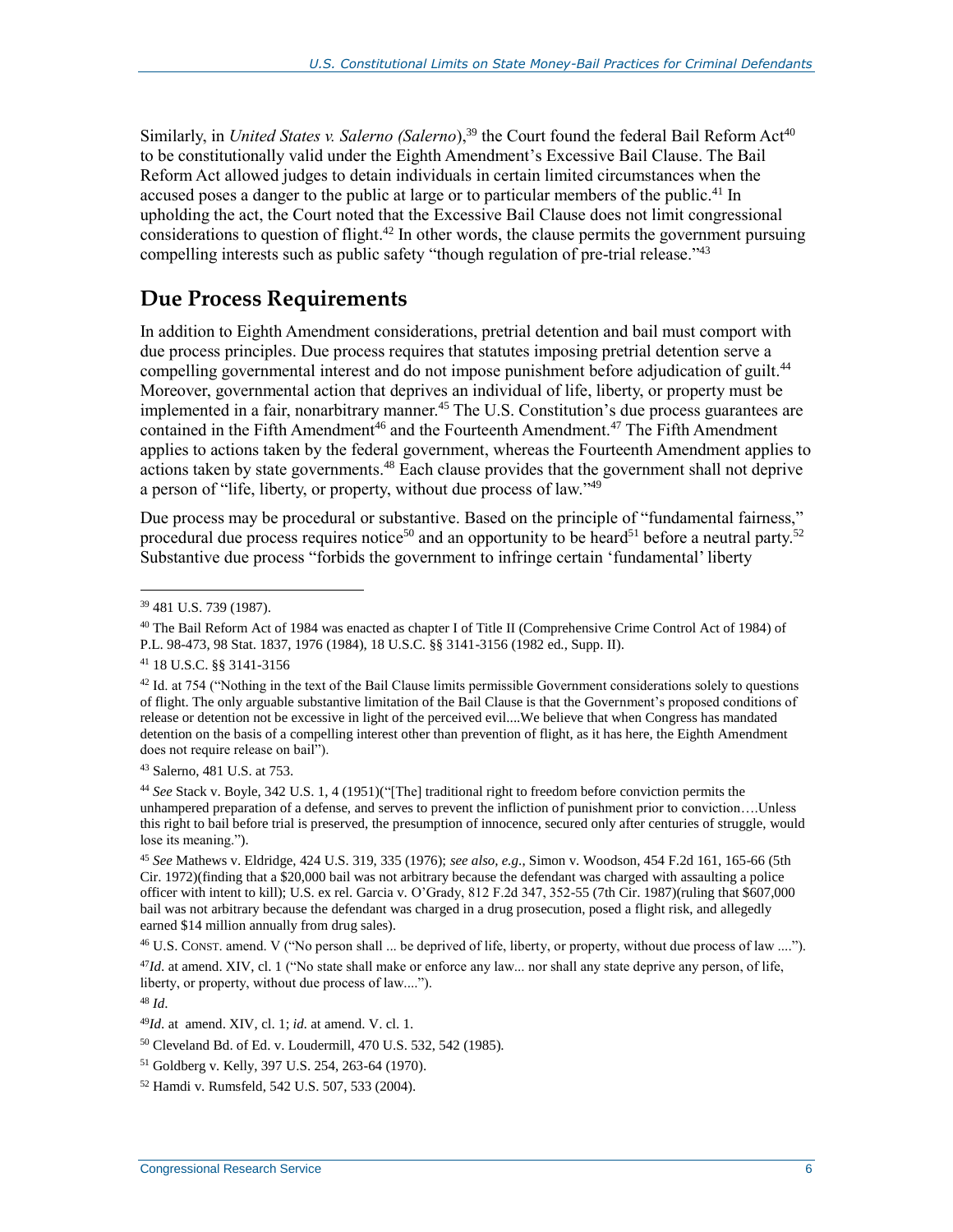Similarly, in *United States v. Salerno (Salerno*),<sup>39</sup> the Court found the federal Bail Reform Act<sup>40</sup> to be constitutionally valid under the Eighth Amendment's Excessive Bail Clause. The Bail Reform Act allowed judges to detain individuals in certain limited circumstances when the accused poses a danger to the public at large or to particular members of the public.<sup>41</sup> In upholding the act, the Court noted that the Excessive Bail Clause does not limit congressional considerations to question of flight.<sup>42</sup> In other words, the clause permits the government pursuing compelling interests such as public safety "though regulation of pre-trial release."<sup>43</sup>

### <span id="page-8-0"></span>**Due Process Requirements**

In addition to Eighth Amendment considerations, pretrial detention and bail must comport with due process principles. Due process requires that statutes imposing pretrial detention serve a compelling governmental interest and do not impose punishment before adjudication of guilt.<sup>44</sup> Moreover, governmental action that deprives an individual of life, liberty, or property must be implemented in a fair, nonarbitrary manner.<sup>45</sup> The U.S. Constitution's due process guarantees are contained in the Fifth Amendment<sup>46</sup> and the Fourteenth Amendment.<sup>47</sup> The Fifth Amendment applies to actions taken by the federal government, whereas the Fourteenth Amendment applies to actions taken by state governments.<sup>48</sup> Each clause provides that the government shall not deprive a person of "life, liberty, or property, without due process of law."<sup>49</sup>

Due process may be procedural or substantive. Based on the principle of "fundamental fairness," procedural due process requires notice<sup>50</sup> and an opportunity to be heard<sup>51</sup> before a neutral party.<sup>52</sup> Substantive due process "forbids the government to infringe certain 'fundamental' liberty

 $\overline{a}$ 

<sup>43</sup> Salerno, 481 U.S. at 753.

<sup>44</sup> *See* Stack v. Boyle, 342 U.S. 1, 4 (1951)("[The] traditional right to freedom before conviction permits the unhampered preparation of a defense, and serves to prevent the infliction of punishment prior to conviction….Unless this right to bail before trial is preserved, the presumption of innocence, secured only after centuries of struggle, would lose its meaning.").

<sup>45</sup> *See* Mathews v. Eldridge, 424 U.S. 319, 335 (1976); *see also, e.g*., Simon v. Woodson, 454 F.2d 161, 165-66 (5th Cir. 1972)(finding that a \$20,000 bail was not arbitrary because the defendant was charged with assaulting a police officer with intent to kill); U.S. ex rel. Garcia v. O'Grady, 812 F.2d 347, 352-55 (7th Cir. 1987)(ruling that \$607,000 bail was not arbitrary because the defendant was charged in a drug prosecution, posed a flight risk, and allegedly earned \$14 million annually from drug sales).

<sup>46</sup> U.S. CONST. amend. V ("No person shall ... be deprived of life, liberty, or property, without due process of law ....").

<sup>47</sup>*Id*. at amend. XIV, cl. 1 ("No state shall make or enforce any law... nor shall any state deprive any person, of life, liberty, or property, without due process of law....").

<sup>48</sup> *Id*.

<sup>50</sup> Cleveland Bd. of Ed. v. Loudermill, 470 U.S. 532, 542 (1985).

<sup>39</sup> 481 U.S. 739 (1987).

<sup>&</sup>lt;sup>40</sup> The Bail Reform Act of 1984 was enacted as chapter I of Title II (Comprehensive Crime Control Act of 1984) of P.L. 98-473, 98 Stat. 1837, 1976 (1984), 18 U.S.C. §§ 3141-3156 (1982 ed., Supp. II).

<sup>41</sup> 18 U.S.C. §§ 3141-3156

 $42$  Id. at 754 ("Nothing in the text of the Bail Clause limits permissible Government considerations solely to questions of flight. The only arguable substantive limitation of the Bail Clause is that the Government's proposed conditions of release or detention not be excessive in light of the perceived evil....We believe that when Congress has mandated detention on the basis of a compelling interest other than prevention of flight, as it has here, the Eighth Amendment does not require release on bail").

<sup>49</sup>*Id*. at amend. XIV, cl. 1; *id.* at amend. V. cl. 1.

<sup>51</sup> Goldberg v. Kelly, 397 U.S. 254, 263-64 (1970).

<sup>52</sup> Hamdi v. Rumsfeld, 542 U.S. 507, 533 (2004).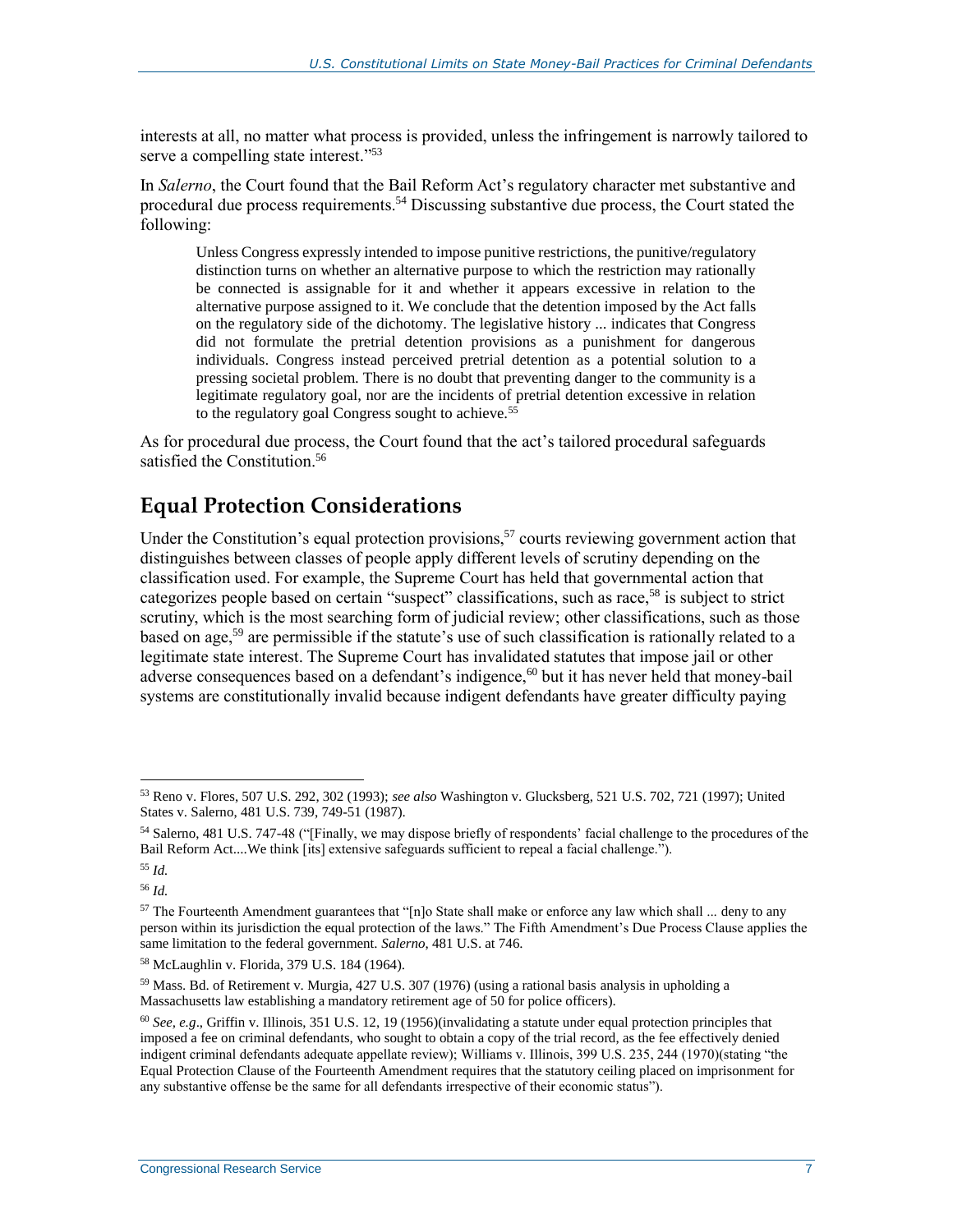interests at all, no matter what process is provided, unless the infringement is narrowly tailored to serve a compelling state interest."<sup>53</sup>

In *Salerno*, the Court found that the Bail Reform Act's regulatory character met substantive and procedural due process requirements.<sup>54</sup> Discussing substantive due process, the Court stated the following:

Unless Congress expressly intended to impose punitive restrictions, the punitive/regulatory distinction turns on whether an alternative purpose to which the restriction may rationally be connected is assignable for it and whether it appears excessive in relation to the alternative purpose assigned to it. We conclude that the detention imposed by the Act falls on the regulatory side of the dichotomy. The legislative history ... indicates that Congress did not formulate the pretrial detention provisions as a punishment for dangerous individuals. Congress instead perceived pretrial detention as a potential solution to a pressing societal problem. There is no doubt that preventing danger to the community is a legitimate regulatory goal, nor are the incidents of pretrial detention excessive in relation to the regulatory goal Congress sought to achieve.<sup>55</sup>

As for procedural due process, the Court found that the act's tailored procedural safeguards satisfied the Constitution.<sup>56</sup>

### <span id="page-9-0"></span>**Equal Protection Considerations**

Under the Constitution's equal protection provisions,<sup>57</sup> courts reviewing government action that distinguishes between classes of people apply different levels of scrutiny depending on the classification used. For example, the Supreme Court has held that governmental action that categorizes people based on certain "suspect" classifications, such as race,<sup>58</sup> is subject to strict scrutiny, which is the most searching form of judicial review; other classifications, such as those based on age,<sup>59</sup> are permissible if the statute's use of such classification is rationally related to a legitimate state interest. The Supreme Court has invalidated statutes that impose jail or other adverse consequences based on a defendant's indigence,<sup>60</sup> but it has never held that money-bail systems are constitutionally invalid because indigent defendants have greater difficulty paying

<sup>53</sup> Reno v. Flores, 507 U.S. 292, 302 (1993); *see also* Washington v. Glucksberg, 521 U.S. 702, 721 (1997); United States v. Salerno, 481 U.S. 739, 749-51 (1987).

<sup>54</sup> Salerno, 481 U.S. 747-48 ("[Finally, we may dispose briefly of respondents' facial challenge to the procedures of the Bail Reform Act....We think [its] extensive safeguards sufficient to repeal a facial challenge.").

<sup>55</sup> *Id.*

<sup>56</sup> *Id.*

 $57$  The Fourteenth Amendment guarantees that "[n]o State shall make or enforce any law which shall ... deny to any person within its jurisdiction the equal protection of the laws." The Fifth Amendment's Due Process Clause applies the same limitation to the federal government. *Salerno*, 481 U.S. at 746.

<sup>58</sup> McLaughlin v. Florida, 379 U.S. 184 (1964).

<sup>59</sup> Mass. Bd. of Retirement v. Murgia, 427 U.S. 307 (1976) (using a rational basis analysis in upholding a Massachusetts law establishing a mandatory retirement age of 50 for police officers).

<sup>60</sup> *See, e.g*., Griffin v. Illinois, 351 U.S. 12, 19 (1956)(invalidating a statute under equal protection principles that imposed a fee on criminal defendants, who sought to obtain a copy of the trial record, as the fee effectively denied indigent criminal defendants adequate appellate review); Williams v. Illinois, 399 U.S. 235, 244 (1970)(stating "the Equal Protection Clause of the Fourteenth Amendment requires that the statutory ceiling placed on imprisonment for any substantive offense be the same for all defendants irrespective of their economic status").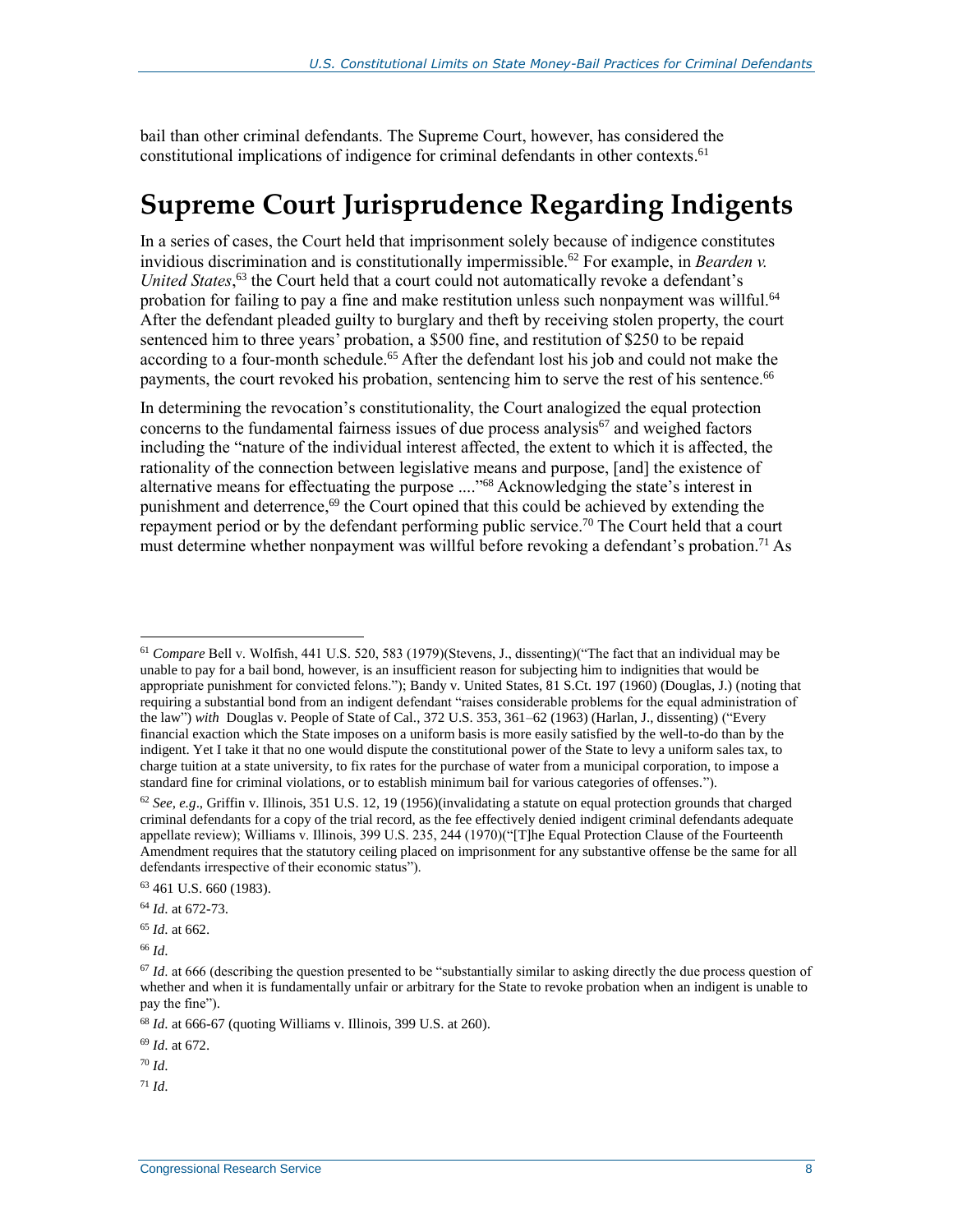bail than other criminal defendants. The Supreme Court, however, has considered the constitutional implications of indigence for criminal defendants in other contexts. 61

### <span id="page-10-0"></span>**Supreme Court Jurisprudence Regarding Indigents**

In a series of cases, the Court held that imprisonment solely because of indigence constitutes invidious discrimination and is constitutionally impermissible.<sup>62</sup> For example, in *Bearden v. United States*, <sup>63</sup> the Court held that a court could not automatically revoke a defendant's probation for failing to pay a fine and make restitution unless such nonpayment was willful.<sup>64</sup> After the defendant pleaded guilty to burglary and theft by receiving stolen property, the court sentenced him to three years' probation, a \$500 fine, and restitution of \$250 to be repaid according to a four-month schedule.<sup>65</sup> After the defendant lost his job and could not make the payments, the court revoked his probation, sentencing him to serve the rest of his sentence.<sup>66</sup>

In determining the revocation's constitutionality, the Court analogized the equal protection concerns to the fundamental fairness issues of due process analysis $67$  and weighed factors including the "nature of the individual interest affected, the extent to which it is affected, the rationality of the connection between legislative means and purpose, [and] the existence of alternative means for effectuating the purpose ...." <sup>68</sup> Acknowledging the state's interest in punishment and deterrence, <sup>69</sup> the Court opined that this could be achieved by extending the repayment period or by the defendant performing public service.<sup>70</sup> The Court held that a court must determine whether nonpayment was willful before revoking a defendant's probation.<sup>71</sup> As

<sup>66</sup> *Id*.

<sup>69</sup> *Id*. at 672.

<sup>71</sup> *Id*.

 $\overline{a}$ <sup>61</sup> *Compare* Bell v. Wolfish, 441 U.S. 520, 583 (1979)(Stevens, J., dissenting)("The fact that an individual may be unable to pay for a bail bond, however, is an insufficient reason for subjecting him to indignities that would be appropriate punishment for convicted felons."); Bandy v. United States, 81 S.Ct. 197 (1960) (Douglas, J.) (noting that requiring a substantial bond from an indigent defendant "raises considerable problems for the equal administration of the law") *with* Douglas v. People of State of Cal., 372 U.S. 353, 361–62 (1963) (Harlan, J., dissenting) ("Every financial exaction which the State imposes on a uniform basis is more easily satisfied by the well-to-do than by the indigent. Yet I take it that no one would dispute the constitutional power of the State to levy a uniform sales tax, to charge tuition at a state university, to fix rates for the purchase of water from a municipal corporation, to impose a standard fine for criminal violations, or to establish minimum bail for various categories of offenses.").

 $62$  *See, e.g.*, Griffin v. Illinois, 351 U.S. 12, 19 (1956)(invalidating a statute on equal protection grounds that charged criminal defendants for a copy of the trial record, as the fee effectively denied indigent criminal defendants adequate appellate review); Williams v. Illinois, 399 U.S. 235, 244 (1970)("[T]he Equal Protection Clause of the Fourteenth Amendment requires that the statutory ceiling placed on imprisonment for any substantive offense be the same for all defendants irrespective of their economic status").

<sup>63</sup> 461 U.S. 660 (1983).

<sup>64</sup> *Id*. at 672-73.

<sup>65</sup> *Id*. at 662.

<sup>&</sup>lt;sup>67</sup> *Id.* at 666 (describing the question presented to be "substantially similar to asking directly the due process question of whether and when it is fundamentally unfair or arbitrary for the State to revoke probation when an indigent is unable to pay the fine").

<sup>68</sup> *Id*. at 666-67 (quoting Williams v. Illinois, 399 U.S. at 260).

<sup>70</sup> *Id*.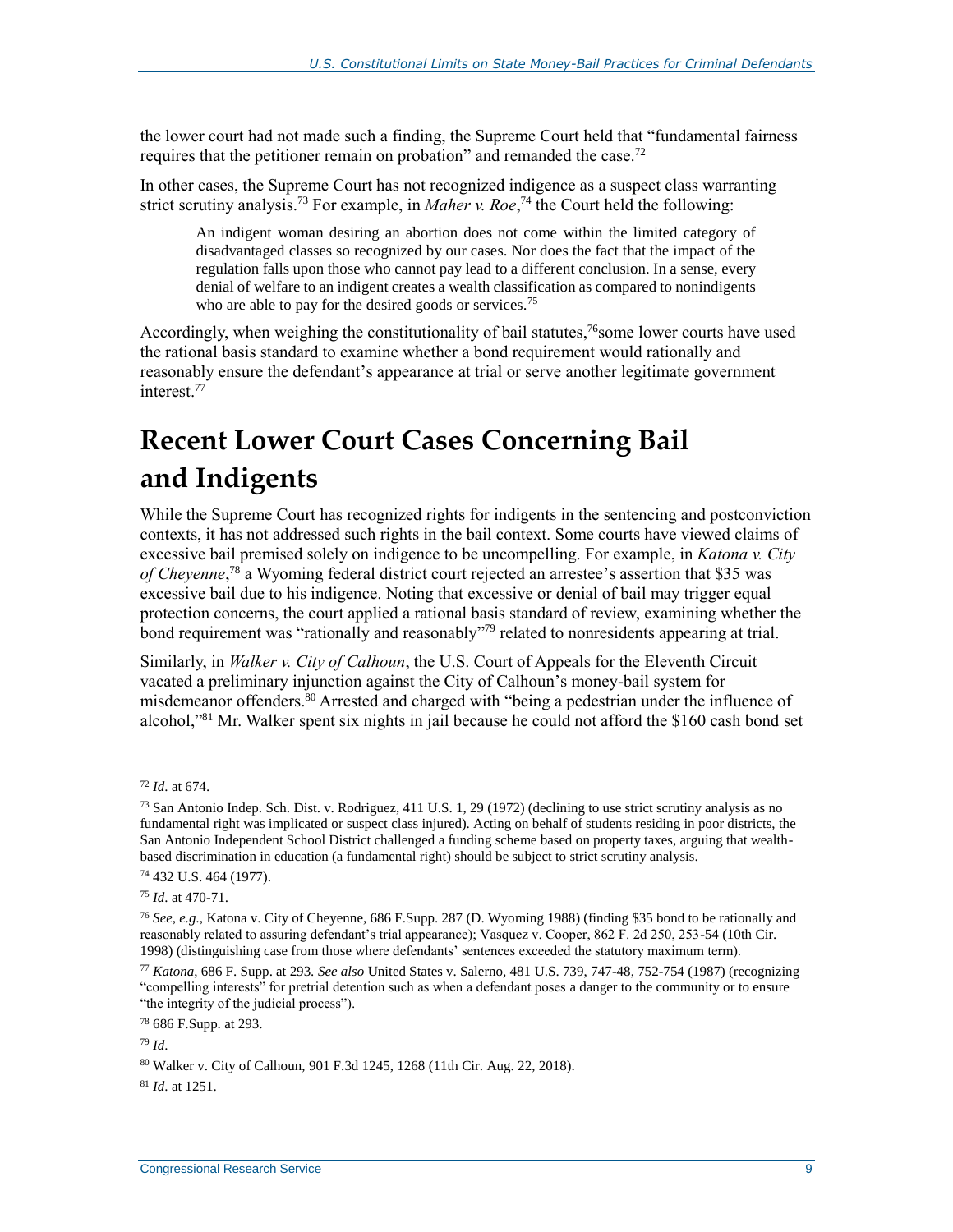the lower court had not made such a finding, the Supreme Court held that "fundamental fairness requires that the petitioner remain on probation" and remanded the case.<sup>72</sup>

In other cases, the Supreme Court has not recognized indigence as a suspect class warranting strict scrutiny analysis.<sup>73</sup> For example, in *Maher v. Roe*,<sup>74</sup> the Court held the following:

An indigent woman desiring an abortion does not come within the limited category of disadvantaged classes so recognized by our cases. Nor does the fact that the impact of the regulation falls upon those who cannot pay lead to a different conclusion. In a sense, every denial of welfare to an indigent creates a wealth classification as compared to nonindigents who are able to pay for the desired goods or services.<sup>75</sup>

Accordingly, when weighing the constitutionality of bail statutes,<sup>76</sup>some lower courts have used the rational basis standard to examine whether a bond requirement would rationally and reasonably ensure the defendant's appearance at trial or serve another legitimate government interest.<sup>77</sup>

## <span id="page-11-0"></span>**Recent Lower Court Cases Concerning Bail and Indigents**

While the Supreme Court has recognized rights for indigents in the sentencing and postconviction contexts, it has not addressed such rights in the bail context. Some courts have viewed claims of excessive bail premised solely on indigence to be uncompelling. For example, in *Katona v. City of Cheyenne*, <sup>78</sup> a Wyoming federal district court rejected an arrestee's assertion that \$35 was excessive bail due to his indigence. Noting that excessive or denial of bail may trigger equal protection concerns, the court applied a rational basis standard of review, examining whether the bond requirement was "rationally and reasonably"<sup>79</sup> related to nonresidents appearing at trial.

Similarly, in *Walker v. City of Calhoun*, the U.S. Court of Appeals for the Eleventh Circuit vacated a preliminary injunction against the City of Calhoun's money-bail system for misdemeanor offenders.<sup>80</sup> Arrested and charged with "being a pedestrian under the influence of alcohol," <sup>81</sup> Mr. Walker spent six nights in jail because he could not afford the \$160 cash bond set

 $\overline{a}$ 

<sup>81</sup> *Id*. at 1251.

<sup>72</sup> *Id*. at 674.

<sup>&</sup>lt;sup>73</sup> San Antonio Indep. Sch. Dist. v. Rodriguez, 411 U.S. 1, 29 (1972) (declining to use strict scrutiny analysis as no fundamental right was implicated or suspect class injured). Acting on behalf of students residing in poor districts, the San Antonio Independent School District challenged a funding scheme based on property taxes, arguing that wealthbased discrimination in education (a fundamental right) should be subject to strict scrutiny analysis.

<sup>74</sup> 432 U.S. 464 (1977).

<sup>75</sup> *Id*. at 470-71.

<sup>76</sup> *See, e.g.,* Katona v. City of Cheyenne, 686 F.Supp. 287 (D. Wyoming 1988) (finding \$35 bond to be rationally and reasonably related to assuring defendant's trial appearance); Vasquez v. Cooper, 862 F. 2d 250, 253-54 (10th Cir. 1998) (distinguishing case from those where defendants' sentences exceeded the statutory maximum term).

<sup>77</sup> *Katona*, 686 F. Supp. at 293. *See also* United States v. Salerno, 481 U.S. 739, 747-48, 752-754 (1987) (recognizing "compelling interests" for pretrial detention such as when a defendant poses a danger to the community or to ensure "the integrity of the judicial process").

<sup>78</sup> 686 F.Supp. at 293.

<sup>79</sup> *Id*.

<sup>80</sup> Walker v. City of Calhoun, 901 F.3d 1245, 1268 (11th Cir. Aug. 22, 2018).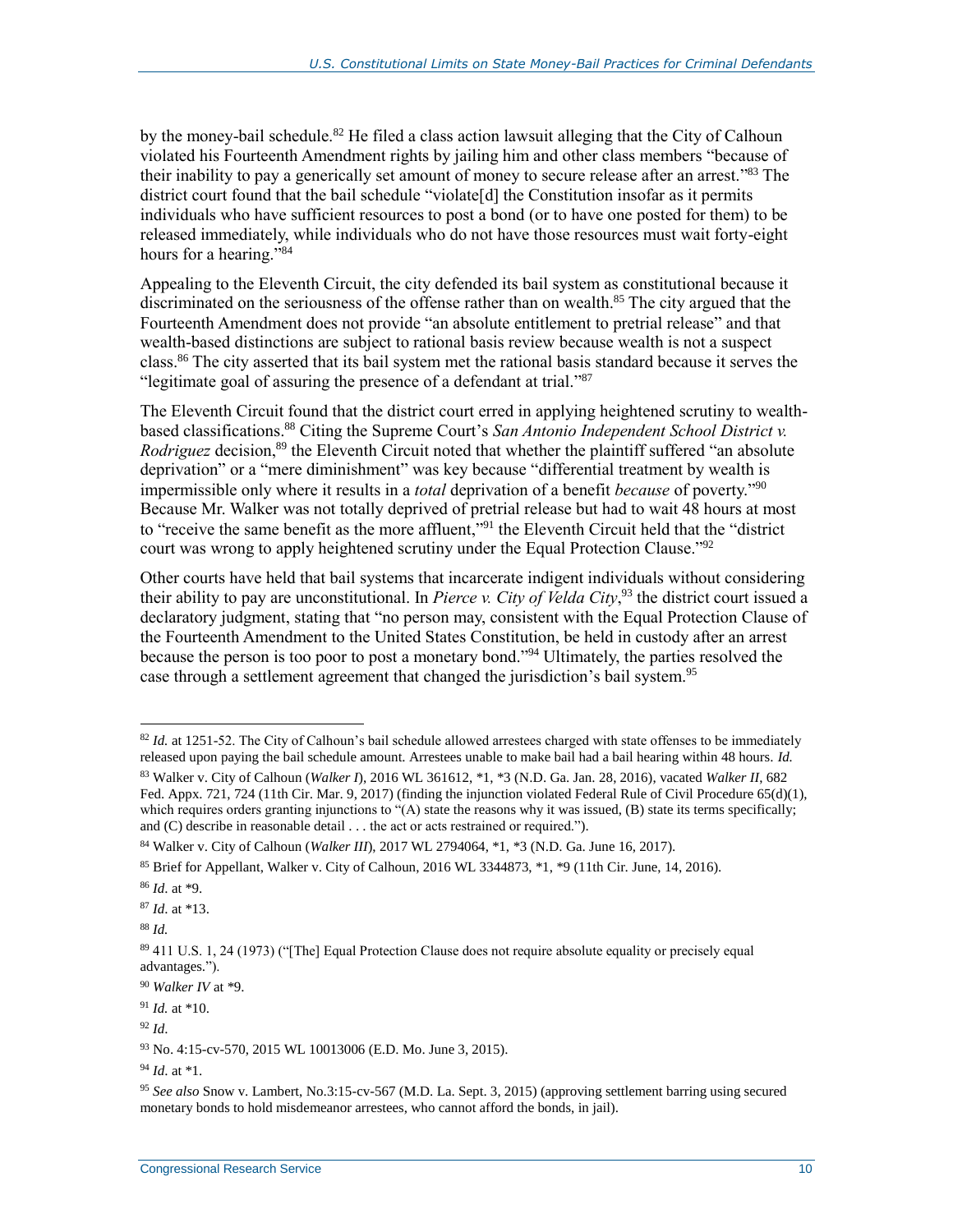by the money-bail schedule.<sup>82</sup> He filed a class action lawsuit alleging that the City of Calhoun violated his Fourteenth Amendment rights by jailing him and other class members "because of their inability to pay a generically set amount of money to secure release after an arrest."<sup>83</sup> The district court found that the bail schedule "violate<sup>[d]</sup> the Constitution insofar as it permits individuals who have sufficient resources to post a bond (or to have one posted for them) to be released immediately, while individuals who do not have those resources must wait forty-eight hours for a hearing."<sup>84</sup>

Appealing to the Eleventh Circuit, the city defended its bail system as constitutional because it discriminated on the seriousness of the offense rather than on wealth. <sup>85</sup> The city argued that the Fourteenth Amendment does not provide "an absolute entitlement to pretrial release" and that wealth-based distinctions are subject to rational basis review because wealth is not a suspect class. <sup>86</sup> The city asserted that its bail system met the rational basis standard because it serves the "legitimate goal of assuring the presence of a defendant at trial." 87

The Eleventh Circuit found that the district court erred in applying heightened scrutiny to wealthbased classifications.<sup>88</sup> Citing the Supreme Court's *San Antonio Independent School District v. Rodriguez* decision,<sup>89</sup> the Eleventh Circuit noted that whether the plaintiff suffered "an absolute deprivation" or a "mere diminishment" was key because "differential treatment by wealth is impermissible only where it results in a *total* deprivation of a benefit *because* of poverty." 90 Because Mr. Walker was not totally deprived of pretrial release but had to wait 48 hours at most to "receive the same benefit as the more affluent,"<sup>91</sup> the Eleventh Circuit held that the "district court was wrong to apply heightened scrutiny under the Equal Protection Clause."<sup>92</sup>

Other courts have held that bail systems that incarcerate indigent individuals without considering their ability to pay are unconstitutional. In *Pierce v. City of Velda City*, <sup>93</sup> the district court issued a declaratory judgment, stating that "no person may, consistent with the Equal Protection Clause of the Fourteenth Amendment to the United States Constitution, be held in custody after an arrest because the person is too poor to post a monetary bond." <sup>94</sup> Ultimately, the parties resolved the case through a settlement agreement that changed the jurisdiction's bail system.<sup>95</sup>

<sup>87</sup> *Id*. at \*13.

<sup>88</sup> *Id.*

 $82$  *Id.* at 1251-52. The City of Calhoun's bail schedule allowed arrestees charged with state offenses to be immediately released upon paying the bail schedule amount. Arrestees unable to make bail had a bail hearing within 48 hours. *Id.*

<sup>83</sup> Walker v. City of Calhoun (*Walker I*), 2016 WL 361612, \*1, \*3 (N.D. Ga. Jan. 28, 2016), vacated *Walker II*, 682 Fed. Appx. 721, 724 (11th Cir. Mar. 9, 2017) (finding the injunction violated Federal Rule of Civil Procedure 65(d)(1), which requires orders granting injunctions to "(A) state the reasons why it was issued, (B) state its terms specifically; and (C) describe in reasonable detail . . . the act or acts restrained or required.").

<sup>84</sup> Walker v. City of Calhoun (*Walker III*), 2017 WL 2794064, \*1, \*3 (N.D. Ga. June 16, 2017).

<sup>85</sup> Brief for Appellant, Walker v. City of Calhoun, 2016 WL 3344873, \*1, \*9 (11th Cir. June, 14, 2016).

<sup>86</sup> *Id*. at \*9.

<sup>89</sup> 411 U.S. 1, 24 (1973) ("[The] Equal Protection Clause does not require absolute equality or precisely equal advantages.").

<sup>90</sup> *Walker IV* at \*9.

<sup>91</sup> *Id.* at \*10.

<sup>92</sup> *Id*.

<sup>93</sup> No. 4:15-cv-570, 2015 WL 10013006 (E.D. Mo. June 3, 2015).

<sup>94</sup> *Id*. at \*1.

<sup>95</sup> *See also* Snow v. Lambert, No.3:15-cv-567 (M.D. La. Sept. 3, 2015) (approving settlement barring using secured monetary bonds to hold misdemeanor arrestees, who cannot afford the bonds, in jail).